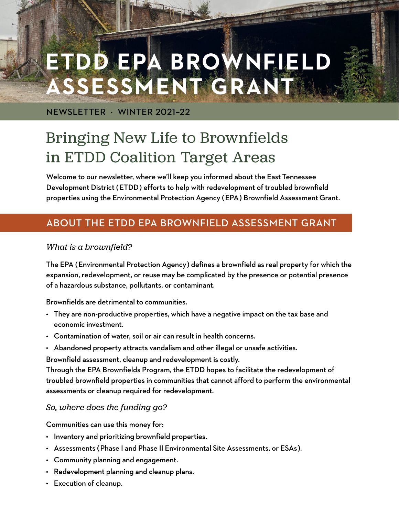# **ETDD EPA BROWNFIELD ASSESSMENT GRANT**

NEWSLETTER · WINTER 2021–22

# Bringing New Life to Brownfields in ETDD Coalition Target Areas

Welcome to our newsletter, where we'll keep you informed about the East Tennessee Development District (ETDD) efforts to help with redevelopment of troubled brownfield properties using the Environmental Protection Agency (EPA) Brownfield Assessment Grant.

# ABOUT THE ETDD EPA BROWNFIELD ASSESSMENT GRANT

#### *What is a brownfield?*

The EPA (Environmental Protection Agency) defines a brownfield as real property for which the expansion, redevelopment, or reuse may be complicated by the presence or potential presence of a hazardous substance, pollutants, or contaminant.

Brownfields are detrimental to communities.

- They are non-productive properties, which have a negative impact on the tax base and economic investment.
- Contamination of water, soil or air can result in health concerns.
- Abandoned property attracts vandalism and other illegal or unsafe activities.

Brownfield assessment, cleanup and redevelopment is costly.

Through the EPA Brownfields Program, the ETDD hopes to facilitate the redevelopment of troubled brownfield properties in communities that cannot afford to perform the environmental assessments or cleanup required for redevelopment.

*So, where does the funding go?*

Communities can use this money for:

- Inventory and prioritizing brownfield properties.
- Assessments (Phase I and Phase II Environmental Site Assessments, or ESAs).
- Community planning and engagement.
- Redevelopment planning and cleanup plans.
- Execution of cleanup.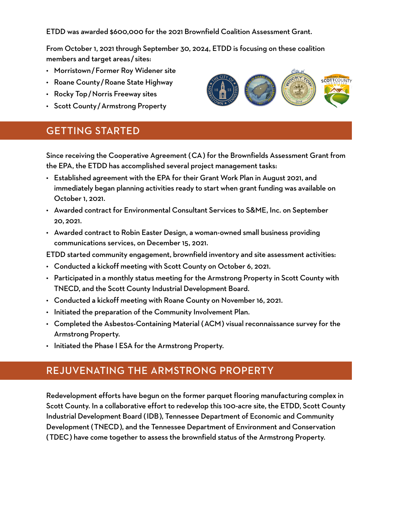ETDD was awarded \$600,000 for the 2021 Brownfield Coalition Assessment Grant.

From October 1, 2021 through September 30, 2024, ETDD is focusing on these coalition members and target areas/sites:

- Morristown/Former Roy Widener site
- Roane County/Roane State Highway
- Rocky Top/Norris Freeway sites
- Scott County/Armstrong Property

### GETTING STARTED

Since receiving the Cooperative Agreement (CA) for the Brownfields Assessment Grant from the EPA, the ETDD has accomplished several project management tasks:

- Established agreement with the EPA for their Grant Work Plan in August 2021, and immediately began planning activities ready to start when grant funding was available on October 1, 2021.
- Awarded contract for Environmental Consultant Services to S&ME, Inc. on September 20, 2021.
- Awarded contract to Robin Easter Design, a woman-owned small business providing communications services, on December 15, 2021.

ETDD started community engagement, brownfield inventory and site assessment activities:

- Conducted a kickoff meeting with Scott County on October 6, 2021.
- Participated in a monthly status meeting for the Armstrong Property in Scott County with TNECD, and the Scott County Industrial Development Board.
- Conducted a kickoff meeting with Roane County on November 16, 2021.
- Initiated the preparation of the Community Involvement Plan.
- Completed the Asbestos-Containing Material (ACM) visual reconnaissance survey for the Armstrong Property.
- Initiated the Phase I ESA for the Armstrong Property.

## REJUVENATING THE ARMSTRONG PROPERTY

Redevelopment efforts have begun on the former parquet flooring manufacturing complex in Scott County. In a collaborative effort to redevelop this 100-acre site, the ETDD, Scott County Industrial Development Board (IDB), Tennessee Department of Economic and Community Development (TNECD), and the Tennessee Department of Environment and Conservation (TDEC) have come together to assess the brownfield status of the Armstrong Property.